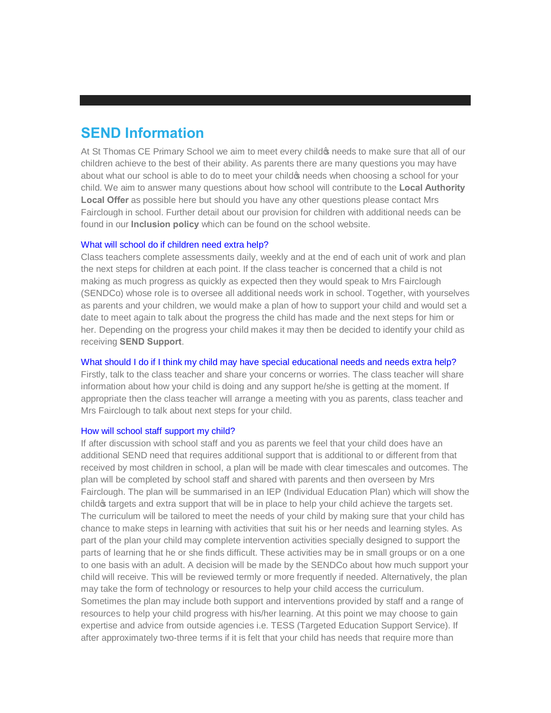# **SEND Information**

At St Thomas CE Primary School we aim to meet every child to needs to make sure that all of our children achieve to the best of their ability. As parents there are many questions you may have about what our school is able to do to meet your child to needs when choosing a school for your child. We aim to answer many questions about how school will contribute to the **Local Authority Local Offer** as possible here but should you have any other questions please contact Mrs Fairclough in school. Further detail about our provision for children with additional needs can be found in our **Inclusion policy** which can be found on the school website.

## What will school do if children need extra help?

Class teachers complete assessments daily, weekly and at the end of each unit of work and plan the next steps for children at each point. If the class teacher is concerned that a child is not making as much progress as quickly as expected then they would speak to Mrs Fairclough (SENDCo) whose role is to oversee all additional needs work in school. Together, with yourselves as parents and your children, we would make a plan of how to support your child and would set a date to meet again to talk about the progress the child has made and the next steps for him or her. Depending on the progress your child makes it may then be decided to identify your child as receiving **SEND Support**.

# What should I do if I think my child may have special educational needs and needs extra help?

Firstly, talk to the class teacher and share your concerns or worries. The class teacher will share information about how your child is doing and any support he/she is getting at the moment. If appropriate then the class teacher will arrange a meeting with you as parents, class teacher and Mrs Fairclough to talk about next steps for your child.

# How will school staff support my child?

If after discussion with school staff and you as parents we feel that your child does have an additional SEND need that requires additional support that is additional to or different from that received by most children in school, a plan will be made with clear timescales and outcomes. The plan will be completed by school staff and shared with parents and then overseen by Mrs Fairclough. The plan will be summarised in an IEP (Individual Education Plan) which will show the child of targets and extra support that will be in place to help your child achieve the targets set. The curriculum will be tailored to meet the needs of your child by making sure that your child has chance to make steps in learning with activities that suit his or her needs and learning styles. As part of the plan your child may complete intervention activities specially designed to support the parts of learning that he or she finds difficult. These activities may be in small groups or on a one to one basis with an adult. A decision will be made by the SENDCo about how much support your child will receive. This will be reviewed termly or more frequently if needed. Alternatively, the plan may take the form of technology or resources to help your child access the curriculum. Sometimes the plan may include both support and interventions provided by staff and a range of resources to help your child progress with his/her learning. At this point we may choose to gain expertise and advice from outside agencies i.e. TESS (Targeted Education Support Service). If after approximately two-three terms if it is felt that your child has needs that require more than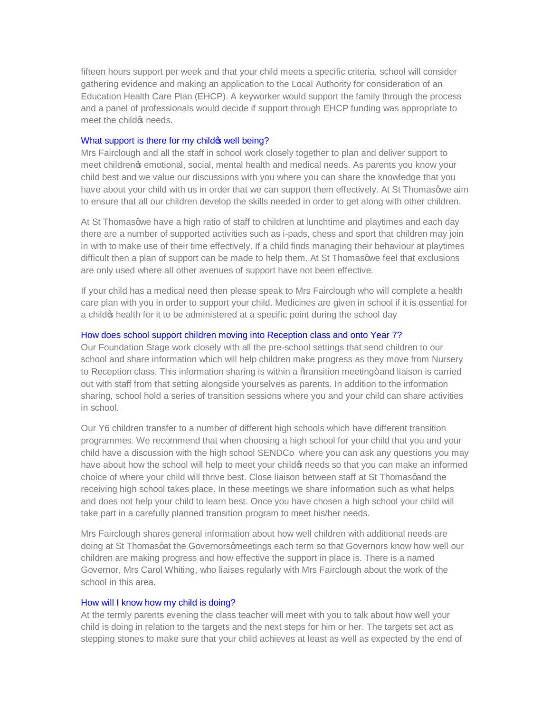fifteen hours support per week and that your child meets a specific criteria, school will consider gathering evidence and making an application to the Local Authority for consideration of an Education Health Care Plan (EHCP). A keyworker would support the family through the process and a panel of professionals would decide if support through EHCP funding was appropriate to meet the child *is* needs.

## What support is there for my child **well** being?

Mrs Fairclough and all the staff in school work closely together to plan and deliver support to meet children $\infty$  emotional, social, mental health and medical needs. As parents you know your child best and we value our discussions with you where you can share the knowledge that you have about your child with us in order that we can support them effectively. At St Thomasqwe aim to ensure that all our children develop the skills needed in order to get along with other children.

At St Thomasqwe have a high ratio of staff to children at lunchtime and playtimes and each day there are a number of supported activities such as i-pads, chess and sport that children may join in with to make use of their time effectively. If a child finds managing their behaviour at playtimes difficult then a plan of support can be made to help them. At St Thomasqwe feel that exclusions are only used where all other avenues of support have not been effective.

If your child has a medical need then please speak to Mrs Fairclough who will complete a health care plan with you in order to support your child. Medicines are given in school if it is essential for a child op health for it to be administered at a specific point during the school day

## How does school support children moving into Reception class and onto Year 7?

Our Foundation Stage work closely with all the pre-school settings that send children to our school and share information which will help children make progress as they move from Nursery to Reception class. This information sharing is within a % tansition meeting+ and liaison is carried out with staff from that setting alongside yourselves as parents. In addition to the information sharing, school hold a series of transition sessions where you and your child can share activities in school.

Our Y6 children transfer to a number of different high schools which have different transition programmes. We recommend that when choosing a high school for your child that you and your child have a discussion with the high school SENDCo where you can ask any questions you may have about how the school will help to meet your child op needs so that you can make an informed choice of where your child will thrive best. Close liaison between staff at St Thomasgand the receiving high school takes place. In these meetings we share information such as what helps and does not help your child to learn best. Once you have chosen a high school your child will take part in a carefully planned transition program to meet his/her needs.

Mrs Fairclough shares general information about how well children with additional needs are doing at St Thomasgat the Governorsgmeetings each term so that Governors know how well our children are making progress and how effective the support in place is. There is a named Governor, Mrs Carol Whiting, who liaises regularly with Mrs Fairclough about the work of the school in this area.

#### How will I know how my child is doing?

At the termly parents evening the class teacher will meet with you to talk about how well your child is doing in relation to the targets and the next steps for him or her. The targets set act as stepping stones to make sure that your child achieves at least as well as expected by the end of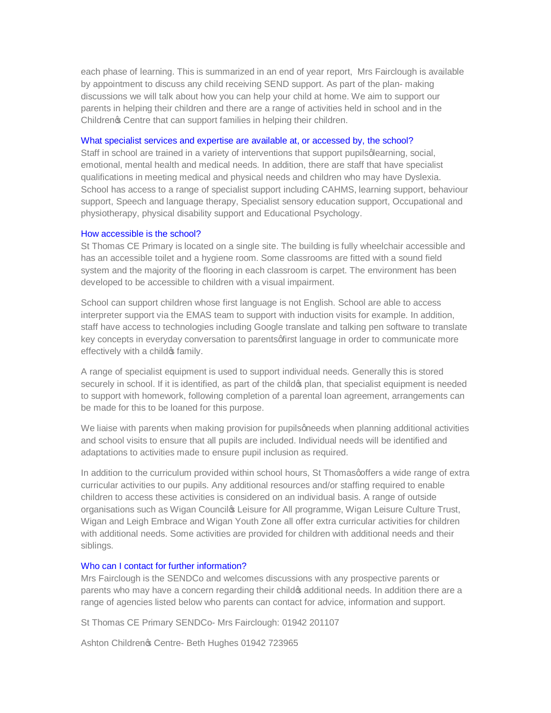each phase of learning. This is summarized in an end of year report, Mrs Fairclough is available by appointment to discuss any child receiving SEND support. As part of the plan- making discussions we will talk about how you can help your child at home. We aim to support our parents in helping their children and there are a range of activities held in school and in the Childrengs Centre that can support families in helping their children.

#### What specialist services and expertise are available at, or accessed by, the school?

Staff in school are trained in a variety of interventions that support pupils qlearning, social, emotional, mental health and medical needs. In addition, there are staff that have specialist qualifications in meeting medical and physical needs and children who may have Dyslexia. School has access to a range of specialist support including CAHMS, learning support, behaviour support, Speech and language therapy, Specialist sensory education support, Occupational and physiotherapy, physical disability support and Educational Psychology.

## How accessible is the school?

St Thomas CE Primary is located on a single site. The building is fully wheelchair accessible and has an accessible toilet and a hygiene room. Some classrooms are fitted with a sound field system and the majority of the flooring in each classroom is carpet. The environment has been developed to be accessible to children with a visual impairment.

School can support children whose first language is not English. School are able to access interpreter support via the EMAS team to support with induction visits for example. In addition, staff have access to technologies including Google translate and talking pen software to translate key concepts in everyday conversation to parents of irst language in order to communicate more effectively with a child of family.

A range of specialist equipment is used to support individual needs. Generally this is stored securely in school. If it is identified, as part of the child op plan, that specialist equipment is needed to support with homework, following completion of a parental loan agreement, arrangements can be made for this to be loaned for this purpose.

We liaise with parents when making provision for pupils gneeds when planning additional activities and school visits to ensure that all pupils are included. Individual needs will be identified and adaptations to activities made to ensure pupil inclusion as required.

In addition to the curriculum provided within school hours, St Thomas offers a wide range of extra curricular activities to our pupils. Any additional resources and/or staffing required to enable children to access these activities is considered on an individual basis. A range of outside organisations such as Wigan Councilos Leisure for All programme, Wigan Leisure Culture Trust, Wigan and Leigh Embrace and Wigan Youth Zone all offer extra curricular activities for children with additional needs. Some activities are provided for children with additional needs and their siblings.

#### Who can I contact for further information?

Mrs Fairclough is the SENDCo and welcomes discussions with any prospective parents or parents who may have a concern regarding their child  $\frac{1}{2}$  additional needs. In addition there are a range of agencies listed below who parents can contact for advice, information and support.

St Thomas CE Primary SENDCo- Mrs Fairclough: 01942 201107

Ashton Childrenos Centre- Beth Hughes 01942 723965